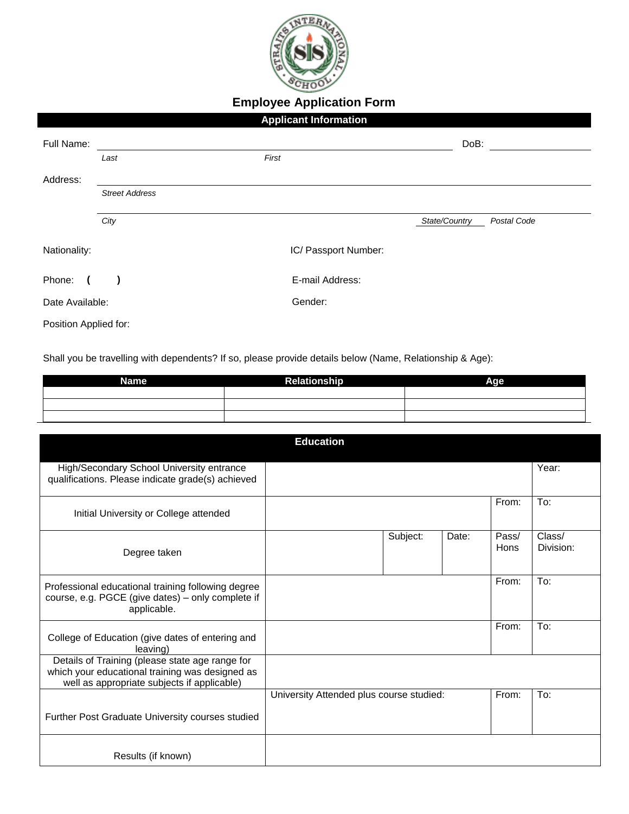

## **Employee Application Form**

**Applicant Information**

|                       |                       | <b>Applicant INTOINTANTI</b> |               |             |
|-----------------------|-----------------------|------------------------------|---------------|-------------|
| Full Name:            |                       |                              | DoB:          |             |
|                       | Last                  | First                        |               |             |
| Address:              |                       |                              |               |             |
|                       | <b>Street Address</b> |                              |               |             |
|                       | City                  |                              | State/Country | Postal Code |
| Nationality:          |                       | IC/ Passport Number:         |               |             |
| Phone:<br>t           |                       | E-mail Address:              |               |             |
| Date Available:       |                       | Gender:                      |               |             |
| Position Applied for: |                       |                              |               |             |

Shall you be travelling with dependents? If so, please provide details below (Name, Relationship & Age):

| <b>Name</b> | <b>Relationship</b> | Age |
|-------------|---------------------|-----|
|             |                     |     |
|             |                     |     |
|             |                     |     |

|                                                                                                                                                   | <b>Education</b>                                  |          |       |               |                     |
|---------------------------------------------------------------------------------------------------------------------------------------------------|---------------------------------------------------|----------|-------|---------------|---------------------|
| High/Secondary School University entrance<br>qualifications. Please indicate grade(s) achieved                                                    |                                                   |          |       |               | Year:               |
| Initial University or College attended                                                                                                            |                                                   |          |       | From:         | To:                 |
| Degree taken                                                                                                                                      |                                                   | Subject: | Date: | Pass/<br>Hons | Class/<br>Division: |
| Professional educational training following degree<br>course, e.g. PGCE (give dates) - only complete if<br>applicable.                            |                                                   |          |       | From:         | To:                 |
| College of Education (give dates of entering and<br>leaving)                                                                                      |                                                   |          |       | From:         | To:                 |
| Details of Training (please state age range for<br>which your educational training was designed as<br>well as appropriate subjects if applicable) |                                                   |          |       |               |                     |
| Further Post Graduate University courses studied                                                                                                  | University Attended plus course studied:<br>From: |          |       | To:           |                     |
| Results (if known)                                                                                                                                |                                                   |          |       |               |                     |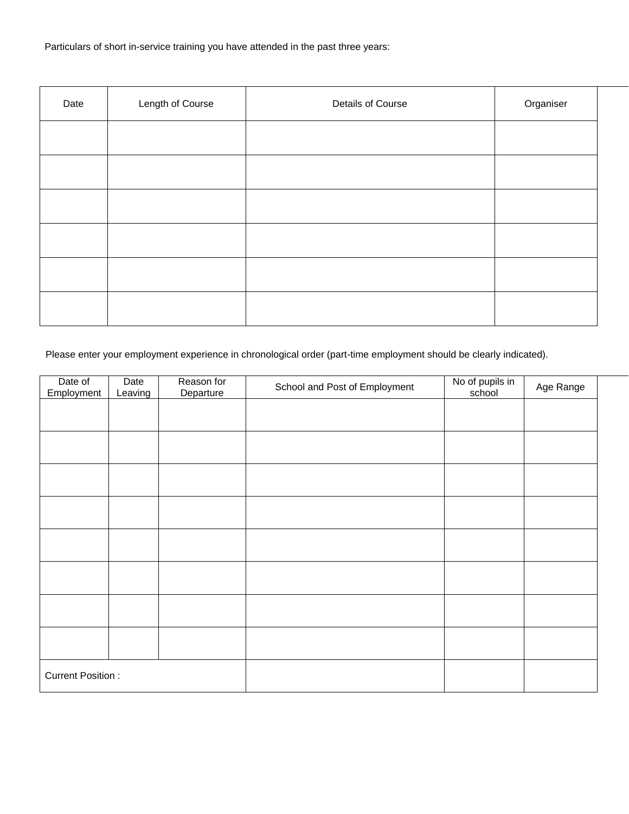Particulars of short in-service training you have attended in the past three years:

| Date | Length of Course | Details of Course | Organiser |
|------|------------------|-------------------|-----------|
|      |                  |                   |           |
|      |                  |                   |           |
|      |                  |                   |           |
|      |                  |                   |           |
|      |                  |                   |           |
|      |                  |                   |           |

Please enter your employment experience in chronological order (part-time employment should be clearly indicated).

| Date of                  | Date    | Reason for | School and Post of Employment | No of pupils in<br>school | Age Range |
|--------------------------|---------|------------|-------------------------------|---------------------------|-----------|
| Employment               | Leaving | Departure  |                               |                           |           |
|                          |         |            |                               |                           |           |
|                          |         |            |                               |                           |           |
|                          |         |            |                               |                           |           |
|                          |         |            |                               |                           |           |
|                          |         |            |                               |                           |           |
|                          |         |            |                               |                           |           |
|                          |         |            |                               |                           |           |
|                          |         |            |                               |                           |           |
|                          |         |            |                               |                           |           |
|                          |         |            |                               |                           |           |
|                          |         |            |                               |                           |           |
|                          |         |            |                               |                           |           |
|                          |         |            |                               |                           |           |
|                          |         |            |                               |                           |           |
|                          |         |            |                               |                           |           |
|                          |         |            |                               |                           |           |
|                          |         |            |                               |                           |           |
| <b>Current Position:</b> |         |            |                               |                           |           |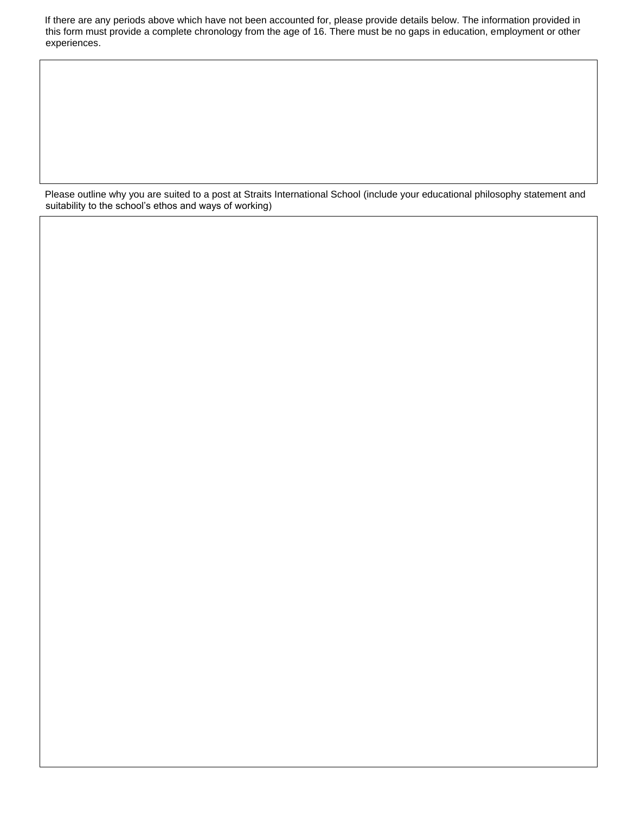If there are any periods above which have not been accounted for, please provide details below. The information provided in this form must provide a complete chronology from the age of 16. There must be no gaps in education, employment or other experiences.

Please outline why you are suited to a post at Straits International School (include your educational philosophy statement and suitability to the school's ethos and ways of working)